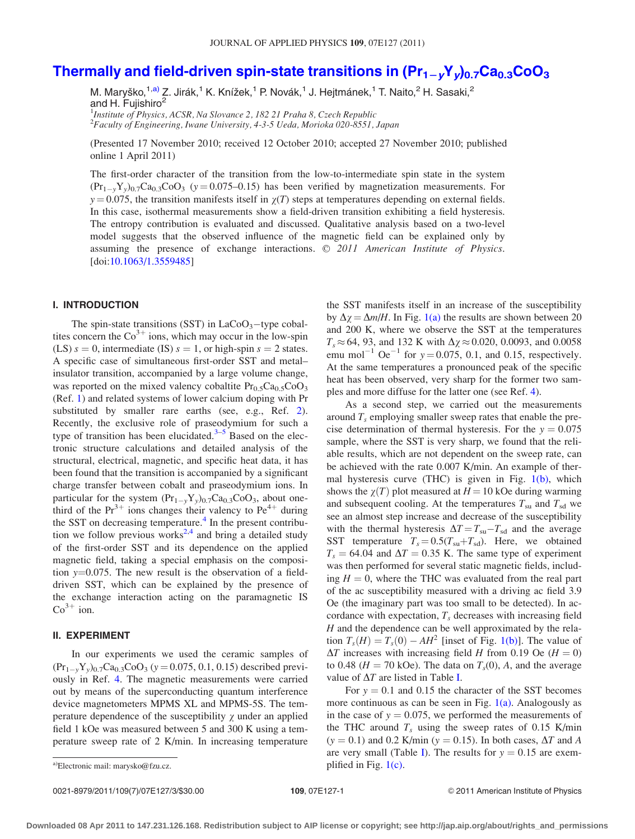# Thermall[y](http://dx.doi.org/10.1063/1.3559485) and field-driven spin-state transitions in  $(\mathsf{Pr}_{1-y}\mathsf{Y}_y)_{0.7}\mathsf{Ca}_{0.3}\mathsf{CoO}_3$  $(\mathsf{Pr}_{1-y}\mathsf{Y}_y)_{0.7}\mathsf{Ca}_{0.3}\mathsf{CoO}_3$  $(\mathsf{Pr}_{1-y}\mathsf{Y}_y)_{0.7}\mathsf{Ca}_{0.3}\mathsf{CoO}_3$

M. Maryško,<sup>1,a)</sup> Z. Jirák,<sup>1</sup> K. Knížek,<sup>1</sup> P. Novák,<sup>1</sup> J. Hejtmánek,<sup>1</sup> T. Naito,<sup>2</sup> H. Sasaki,<sup>2</sup> and H. Fujishiro<sup>2</sup> <sup>1</sup>Institute of Physics, ACSR, Na Slovance 2, 182 21 Praha 8, Czech Republic 2 Faculty of Engineering, Iwane University, 4-3-5 Ueda, Morioka 020-8551, Japan

(Presented 17 November 2010; received 12 October 2010; accepted 27 November 2010; published online 1 April 2011)

The first-order character of the transition from the low-to-intermediate spin state in the system  $(\text{Pr}_{1-y}Y_y)_{0.7}\text{Ca}_{0.3}\text{CoO}_3$  (y = 0.075–0.15) has been verified by magnetization measurements. For  $y = 0.075$ , the transition manifests itself in  $\chi(T)$  steps at temperatures depending on external fields. In this case, isothermal measurements show a field-driven transition exhibiting a field hysteresis. The entropy contribution is evaluated and discussed. Qualitative analysis based on a two-level model suggests that the observed influence of the magnetic field can be explained only by assuming the presence of exchange interactions.  $\odot$  2011 American Institute of Physics. [doi:[10.1063/1.3559485\]](http://dx.doi.org/10.1063/1.3559485)

### I. INTRODUCTION

The spin-state transitions (SST) in  $LaCoO<sub>3</sub>$ -type cobaltites concern the  $Co<sup>3+</sup>$  ions, which may occur in the low-spin (LS)  $s = 0$ , intermediate (IS)  $s = 1$ , or high-spin  $s = 2$  states. A specific case of simultaneous first-order SST and metal– insulator transition, accompanied by a large volume change, was reported on the mixed valency cobaltite  $Pr_{0.5}Ca_{0.5}CoO_3$ (Ref. [1\)](#page-2-0) and related systems of lower calcium doping with Pr substituted by smaller rare earths (see, e.g., Ref. [2](#page-2-0)). Recently, the exclusive role of praseodymium for such a type of transition has been elucidated. $3-5$  Based on the electronic structure calculations and detailed analysis of the structural, electrical, magnetic, and specific heat data, it has been found that the transition is accompanied by a significant charge transfer between cobalt and praseodymium ions. In particular for the system  $(Pr_{1-y}Y_y)_{0.7}Ca_{0.3}CoO_3$ , about onethird of the  $Pr^{3+}$  ions changes their valency to  $Pe^{4+}$  during the SST on decreasing temperature. $4$  In the present contribu-tion we follow previous works<sup>[2,4](#page-2-0)</sup> and bring a detailed study of the first-order SST and its dependence on the applied magnetic field, taking a special emphasis on the composition  $y=0.075$ . The new result is the observation of a fielddriven SST, which can be explained by the presence of the exchange interaction acting on the paramagnetic IS  $Co<sup>3+</sup>$  ion.

### II. EXPERIMENT

In our experiments we used the ceramic samples of  $(\text{Pr}_{1-y} Y_y)_{0.7} \text{Ca}_{0.3} \text{CoO}_3 \ (y = 0.075, 0.1, 0.15)$  described previously in Ref. [4](#page-2-0). The magnetic measurements were carried out by means of the superconducting quantum interference device magnetometers MPMS XL and MPMS-5S. The temperature dependence of the susceptibility  $\chi$  under an applied field 1 kOe was measured between 5 and 300 K using a temperature sweep rate of 2 K/min. In increasing temperature the SST manifests itself in an increase of the susceptibility by  $\Delta \gamma = \Delta m/H$ . In Fig. [1\(a\)](#page-1-0) the results are shown between 20 and 200 K, where we observe the SST at the temperatures  $T_s \approx 64$ , 93, and 132 K with  $\Delta \chi \approx 0.020$ , 0.0093, and 0.0058 emu mol<sup>-1</sup> Oe<sup>-1</sup> for  $y = 0.075, 0.1$ , and 0.15, respectively. At the same temperatures a pronounced peak of the specific heat has been observed, very sharp for the former two samples and more diffuse for the latter one (see Ref. [4\)](#page-2-0).

As a second step, we carried out the measurements around  $T_s$  employing smaller sweep rates that enable the precise determination of thermal hysteresis. For the  $y = 0.075$ sample, where the SST is very sharp, we found that the reliable results, which are not dependent on the sweep rate, can be achieved with the rate 0.007 K/min. An example of thermal hysteresis curve (THC) is given in Fig. [1\(b\),](#page-1-0) which shows the  $\chi(T)$  plot measured at  $H = 10$  kOe during warming and subsequent cooling. At the temperatures  $T_{\text{su}}$  and  $T_{\text{sd}}$  we see an almost step increase and decrease of the susceptibility with the thermal hysteresis  $\Delta T = T_{\text{su}} - T_{\text{sd}}$  and the average SST temperature  $T_s = 0.5(T_{\text{su}}+T_{\text{sd}})$ . Here, we obtained  $T_s = 64.04$  and  $\Delta T = 0.35$  K. The same type of experiment was then performed for several static magnetic fields, including  $H = 0$ , where the THC was evaluated from the real part of the ac susceptibility measured with a driving ac field 3.9 Oe (the imaginary part was too small to be detected). In accordance with expectation,  $T_s$  decreases with increasing field  $H$  and the dependence can be well approximated by the relation  $T_s(H) = T_s(0) - AH^2$  [inset of Fig. [1\(b\)](#page-1-0)]. The value of  $\Delta T$  increases with increasing field H from 0.19 Oe (H = 0) to 0.48 ( $H = 70$  kOe). The data on  $T<sub>s</sub>(0)$ , A, and the average value of  $\Delta T$  are listed in Table [I.](#page-1-0)

For  $y = 0.1$  and 0.15 the character of the SST becomes more continuous as can be seen in Fig.  $1(a)$ . Analogously as in the case of  $y = 0.075$ , we performed the measurements of the THC around  $T_s$  using the sweep rates of 0.15 K/min  $(y = 0.1)$  and 0.2 K/min  $(y = 0.15)$ . In both cases,  $\Delta T$  and A are very small (Table [I](#page-1-0)). The results for  $y = 0.15$  are exema)Electronic mail: marysko@fzu.cz.  $\Box$  plified in Fig. [1\(c\)](#page-1-0).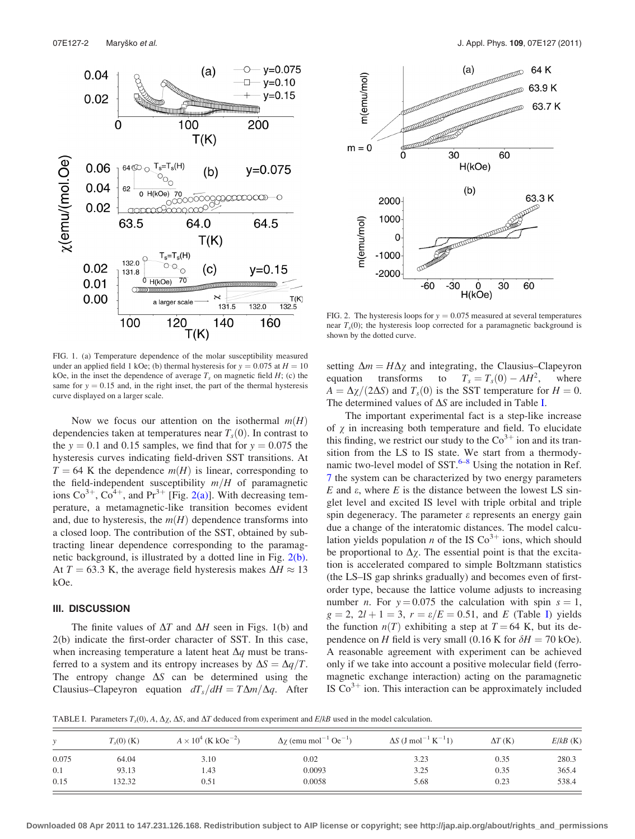<span id="page-1-0"></span>



FIG. 2. The hysteresis loops for  $y = 0.075$  measured at several temperatures near  $T<sub>s</sub>(0)$ ; the hysteresis loop corrected for a paramagnetic background is shown by the dotted curve.

FIG. 1. (a) Temperature dependence of the molar susceptibility measured under an applied field 1 kOe; (b) thermal hysteresis for  $y = 0.075$  at  $H = 10$ kOe, in the inset the dependence of average  $T_s$  on magnetic field  $H$ ; (c) the same for  $y = 0.15$  and, in the right inset, the part of the thermal hysteresis curve displayed on a larger scale.

Now we focus our attention on the isothermal  $m(H)$ dependencies taken at temperatures near  $T<sub>s</sub>(0)$ . In contrast to the  $y = 0.1$  and 0.15 samples, we find that for  $y = 0.075$  the hysteresis curves indicating field-driven SST transitions. At  $T = 64$  K the dependence  $m(H)$  is linear, corresponding to the field-independent susceptibility  $m/H$  of paramagnetic ions  $\text{Co}^{3+}$ ,  $\text{Co}^{4+}$ , and  $\text{Pr}^{3+}$  [Fig. 2(a)]. With decreasing temperature, a metamagnetic-like transition becomes evident and, due to hysteresis, the  $m(H)$  dependence transforms into a closed loop. The contribution of the SST, obtained by subtracting linear dependence corresponding to the paramagnetic background, is illustrated by a dotted line in Fig. 2(b). At  $T = 63.3$  K, the average field hysteresis makes  $\Delta H \approx 13$ kOe.

## III. DISCUSSION

The finite values of  $\Delta T$  and  $\Delta H$  seen in Figs. 1(b) and 2(b) indicate the first-order character of SST. In this case, when increasing temperature a latent heat  $\Delta q$  must be transferred to a system and its entropy increases by  $\Delta S = \Delta q/T$ . The entropy change  $\Delta S$  can be determined using the Clausius–Clapeyron equation  $dT_s/dH = T\Delta m/\Delta q$ . After setting  $\Delta m = H \Delta \chi$  and integrating, the Clausius–Clapeyron equation transforms to  $T_s = T_s(0) - AH^2$ , where  $A = \Delta \chi / (2\Delta S)$  and  $T_s(0)$  is the SST temperature for  $H = 0$ . The determined values of  $\Delta S$  are included in Table I.

The important experimental fact is a step-like increase of  $\chi$  in increasing both temperature and field. To elucidate this finding, we restrict our study to the  $\text{Co}^{3+}$  ion and its transition from the LS to IS state. We start from a thermodynamic two-level model of  $SST$ .<sup>[6–8](#page-2-0)</sup> Using the notation in Ref. [7](#page-2-0) the system can be characterized by two energy parameters  $E$  and  $\varepsilon$ , where  $E$  is the distance between the lowest LS singlet level and excited IS level with triple orbital and triple spin degeneracy. The parameter  $\varepsilon$  represents an energy gain due a change of the interatomic distances. The model calculation yields population *n* of the IS  $Co<sup>3+</sup>$  ions, which should be proportional to  $\Delta \chi$ . The essential point is that the excitation is accelerated compared to simple Boltzmann statistics (the LS–IS gap shrinks gradually) and becomes even of firstorder type, because the lattice volume adjusts to increasing number *n*. For  $y = 0.075$  the calculation with spin  $s = 1$ ,  $g = 2$ ,  $2l + 1 = 3$ ,  $r = \varepsilon/E = 0.51$ , and E (Table I) yields the function  $n(T)$  exhibiting a step at  $T = 64$  K, but its dependence on H field is very small (0.16 K for  $\delta H = 70$  kOe). A reasonable agreement with experiment can be achieved only if we take into account a positive molecular field (ferromagnetic exchange interaction) acting on the paramagnetic IS  $Co<sup>3+</sup>$  ion. This interaction can be approximately included

TABLE I. Parameters  $T_s(0)$ , A,  $\Delta \chi$ ,  $\Delta S$ , and  $\Delta T$  deduced from experiment and  $E/kB$  used in the model calculation.

|       | $T_s(0)$ (K) | $A \times 10^4$ (K kOe <sup>-2</sup> ) | $\Delta \chi$ (emu mol <sup>-1</sup> Oe <sup>-1</sup> ) | $\Delta S$ (J mol <sup>-1</sup> K <sup>-1</sup> 1) | $\Delta T$ (K) | $E/kB$ (K) |
|-------|--------------|----------------------------------------|---------------------------------------------------------|----------------------------------------------------|----------------|------------|
| 0.075 | 64.04        | 3.10                                   | 0.02                                                    | 3.23                                               | 0.35           | 280.3      |
| 0.1   | 93.13        | 1.43                                   | 0.0093                                                  | 3.25                                               | 0.35           | 365.4      |
| 0.15  | 132.32       | 0.51                                   | 0.0058                                                  | 5.68                                               | 0.23           | 538.4      |

**Downloaded 08 Apr 2011 to 147.231.126.168. Redistribution subject to AIP license or copyright; see http://jap.aip.org/about/rights\_and\_permissions**